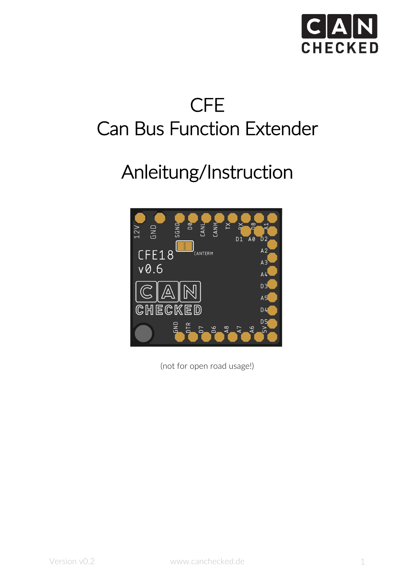

# CFE Can Bus Function Extender

# Anleitung/Instruction



(not for open road usage!)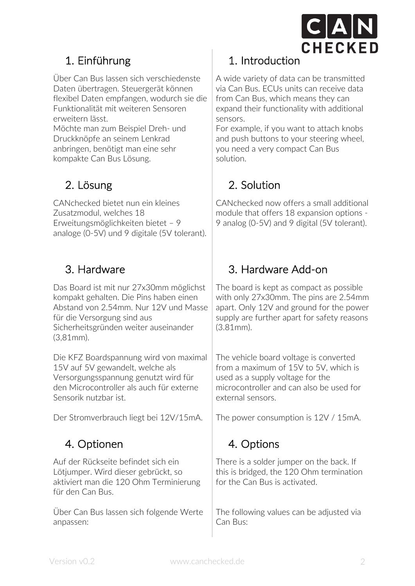

Über Can Bus lassen sich verschiedenste Daten übertragen. Steuergerät können flexibel Daten empfangen, wodurch sie die Funktionalität mit weiteren Sensoren erweitern lässt.

Möchte man zum Beispiel Dreh- und Druckknöpfe an seinem Lenkrad anbringen, benötigt man eine sehr kompakte Can Bus Lösung.

CANchecked bietet nun ein kleines Zusatzmodul, welches 18 Erweitungsmöglichkeiten bietet – 9 analoge (0-5V) und 9 digitale (5V tolerant).

Das Board ist mit nur 27x30mm möglichst kompakt gehalten. Die Pins haben einen Abstand von 2.54mm. Nur 12V und Masse für die Versorgung sind aus Sicherheitsgründen weiter auseinander (3,81mm).

Die KFZ Boardspannung wird von maximal 15V auf 5V gewandelt, welche als Versorgungsspannung genutzt wird für den Microcontroller als auch für externe Sensorik nutzbar ist.

Der Stromverbrauch liegt bei 12V/15mA.

## 4. Optionen

Auf der Rückseite befindet sich ein Lötjumper. Wird dieser gebrückt, so aktiviert man die 120 Ohm Terminierung für den Can Bus.

Über Can Bus lassen sich folgende Werte anpassen:

## 1. Einführung 1. Introduction

A wide variety of data can be transmitted via Can Bus. ECUs units can receive data from Can Bus, which means they can expand their functionality with additional sensors.

For example, if you want to attach knobs and push buttons to your steering wheel, you need a very compact Can Bus solution.

## 2. Lösung 2. Solution

CANchecked now offers a small additional module that offers 18 expansion options - 9 analog (0-5V) and 9 digital (5V tolerant).

## 3. Hardware 3. Hardware Add-on

The board is kept as compact as possible with only 27x30mm. The pins are 2.54mm apart. Only 12V and ground for the power supply are further apart for safety reasons (3.81mm).

The vehicle board voltage is converted from a maximum of 15V to 5V, which is used as a supply voltage for the microcontroller and can also be used for external sensors.

The power consumption is 12V / 15mA.

## 4. Options

There is a solder jumper on the back. If this is bridged, the 120 Ohm termination for the Can Bus is activated.

The following values can be adjusted via Can Bus: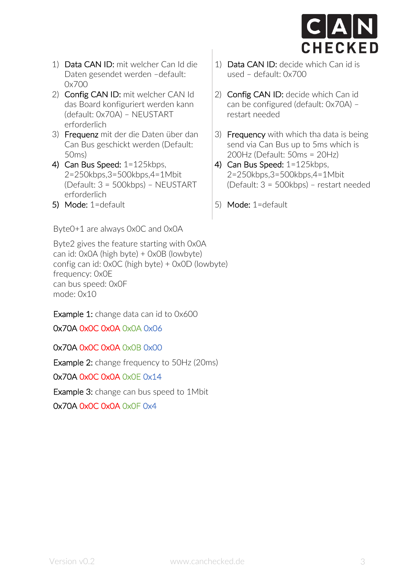

- 1) Data CAN ID: mit welcher Can Id die Daten gesendet werden –default: 0x700
- 2) Config CAN ID: mit welcher CAN Id das Board konfiguriert werden kann (default: 0x70A) – NEUSTART erforderlich
- 3) Frequenz mit der die Daten über dan Can Bus geschickt werden (Default: 50ms)
- 4) Can Bus Speed: 1=125kbps, 2=250kbps,3=500kbps,4=1Mbit (Default: 3 = 500kbps) – NEUSTART erforderlich
- 5) Mode: 1=default

Byte0+1 are always 0x0C and 0x0A

Byte2 gives the feature starting with 0x0A can id: 0x0A (high byte) + 0x0B (lowbyte) config can id: 0x0C (high byte) + 0x0D (lowbyte) frequency: 0x0E can bus speed: 0x0F mode: 0x10

Example 1: change data can id to 0x600

0x70A 0x0C 0x0A 0x0A 0x06

0x70A 0x0C 0x0A 0x0B 0x00

Example 2: change frequency to 50Hz (20ms)

0x70A 0x0C 0x0A 0x0E 0x14

Example 3: change can bus speed to 1Mbit

0x70A 0x0C 0x0A 0x0F 0x4

- 1) Data CAN ID: decide which Can id is used – default: 0x700
- 2) Config CAN ID: decide which Can id can be configured (default: 0x70A) – restart needed
- 3) Frequency with which tha data is being send via Can Bus up to 5ms which is 200Hz (Default: 50ms = 20Hz)
- 4) Can Bus Speed: 1=125kbps, 2=250kbps,3=500kbps,4=1Mbit (Default: 3 = 500kbps) – restart needed
- 5) Mode: 1=default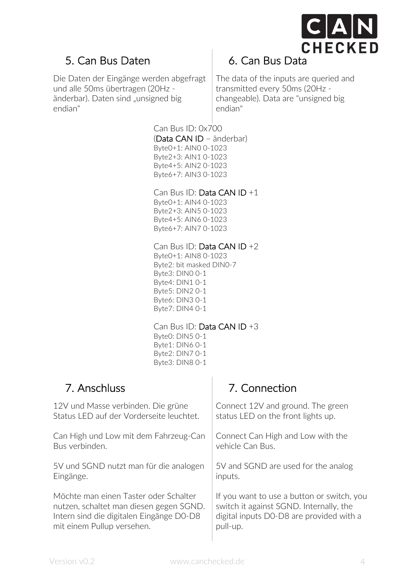

## 5. Can Bus Daten

Die Daten der Eingänge werden abgefragt und alle 50ms übertragen (20Hz änderbar). Daten sind "unsigned big endian"

## 6. Can Bus Data

The data of the inputs are queried and transmitted every 50ms (20Hz changeable). Data are "unsigned big endian"

Can Bus ID: 0x700 (Data CAN ID – änderbar) Byte0+1: AIN0 0-1023 Byte2+3: AIN1 0-1023 Byte4+5: AIN2 0-1023 Byte6+7: AIN3 0-1023

Can Bus ID: Data CAN ID +1

Byte0+1: AIN4 0-1023 Byte2+3: AIN5 0-1023 Byte4+5: AIN6 0-1023 Byte6+7: AIN7 0-1023

### Can Bus ID: Data CAN ID +2

Byte0+1: AIN8 0-1023 Byte2: bit masked DIN0-7 Byte3: DIN0 0-1 Byte4: DIN1 0-1 Byte5: DIN2 0-1 Byte6: DIN3 0-1 Byte7: DIN4 0-1

Can Bus ID: Data CAN ID +3 Byte0: DIN5 0-1 Byte1: DIN6 0-1 Byte2: DIN7 0-1 Byte3: DIN8 0-1

## 7. Anschluss 7. Connection

| 12V und Masse verbinden. Die grüne       | Connect 12V and ground. The green          |
|------------------------------------------|--------------------------------------------|
| Status LFD auf der Vorderseite leuchtet. | status LED on the front lights up.         |
| Can High und Low mit dem Fahrzeug-Can    | Connect Can High and Low with the          |
| Bus verbinden.                           | vehicle Can Bus.                           |
| 5V und SGND nutzt man für die analogen   | 5V and SGND are used for the analog        |
| Eingänge.                                | inputs.                                    |
| Möchte man einen Taster oder Schalter    | If you want to use a button or switch, you |
| nutzen, schaltet man diesen gegen SGND.  | switch it against SGND. Internally, the    |
| Intern sind die digitalen Eingänge D0-D8 | digital inputs D0-D8 are provided with a   |
| mit einem Pullup versehen.               | pull-up.                                   |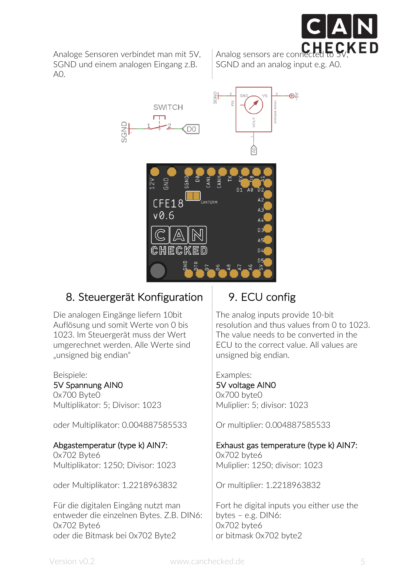

Analoge Sensoren verbindet man mit 5V, SGND und einem analogen Eingang z.B.  $AO$ 

Analog sensors are conne SGND and an analog input e.g. A0.



## 8. Steuergerät Konfiguration

Die analogen Eingänge liefern 10bit Auflösung und somit Werte von 0 bis 1023. Im Steuergerät muss der Wert umgerechnet werden. Alle Werte sind "unsigned big endian"

#### Beispiele:

5V Spannung AIN0

0x700 Byte0 Multiplikator: 5; Divisor: 1023

oder Multiplikator: 0.004887585533

#### Abgastemperatur (type k) AIN7:

0x702 Byte6 Multiplikator: 1250; Divisor: 1023

oder Multiplikator: 1.2218963832

Für die digitalen Eingäng nutzt man entweder die einzelnen Bytes. Z.B. DIN6: 0x702 Byte6 oder die Bitmask bei 0x702 Byte2

## 9. ECU config

The analog inputs provide 10-bit resolution and thus values from 0 to 1023. The value needs to be converted in the ECU to the correct value. All values are unsigned big endian.

Examples:

#### 5V voltage AIN0 0x700 byte0 Muliplier: 5; divisor: 1023

Or multiplier: 0.004887585533

### Exhaust gas temperature (type k) AIN7:

0x702 byte6 Muliplier: 1250; divisor: 1023

Or multiplier: 1.2218963832

Fort he digital inputs you either use the bytes – e.g. DIN6: 0x702 byte6 or bitmask 0x702 byte2